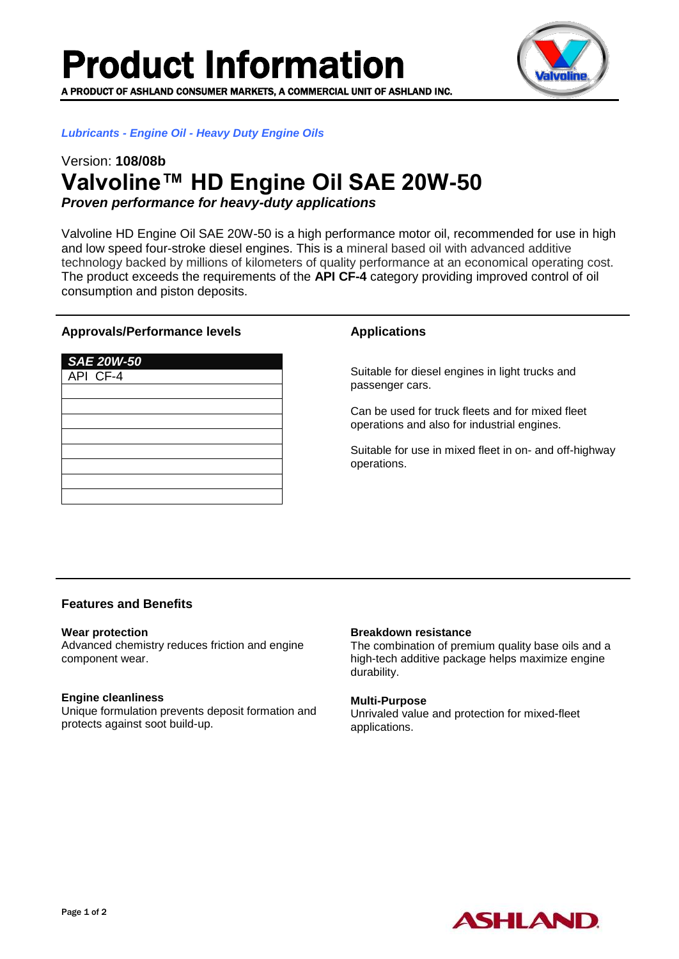Product Information

**PRODUCT OF ASHLAND CONSUMER MARKETS, A COMMERCIAL UNIT OF ASHLAND INC.** 



*Lubricants - Engine Oil - Heavy Duty Engine Oils*

# Version: **108/08b Valvoline™ HD Engine Oil SAE 20W-50**

*Proven performance for heavy-duty applications*

Valvoline HD Engine Oil SAE 20W-50 is a high performance motor oil, recommended for use in high and low speed four-stroke diesel engines. This is a mineral based oil with advanced additive technology backed by millions of kilometers of quality performance at an economical operating cost. The product exceeds the requirements of the **API CF-4** category providing improved control of oil consumption and piston deposits.

### **Approvals/Performance levels**

| <b>SAE 20W-50</b> |  |
|-------------------|--|
| API CF-4          |  |
|                   |  |
|                   |  |
|                   |  |
|                   |  |
|                   |  |
|                   |  |
|                   |  |
|                   |  |

## **Applications**

Suitable for diesel engines in light trucks and passenger cars.

Can be used for truck fleets and for mixed fleet operations and also for industrial engines.

Suitable for use in mixed fleet in on- and off-highway operations.

# **Features and Benefits**

### **Wear protection**

Advanced chemistry reduces friction and engine component wear.

### **Engine cleanliness**

Unique formulation prevents deposit formation and protects against soot build-up.

### **Breakdown resistance**

The combination of premium quality base oils and a high-tech additive package helps maximize engine durability.

### **Multi-Purpose**

Unrivaled value and protection for mixed-fleet applications.